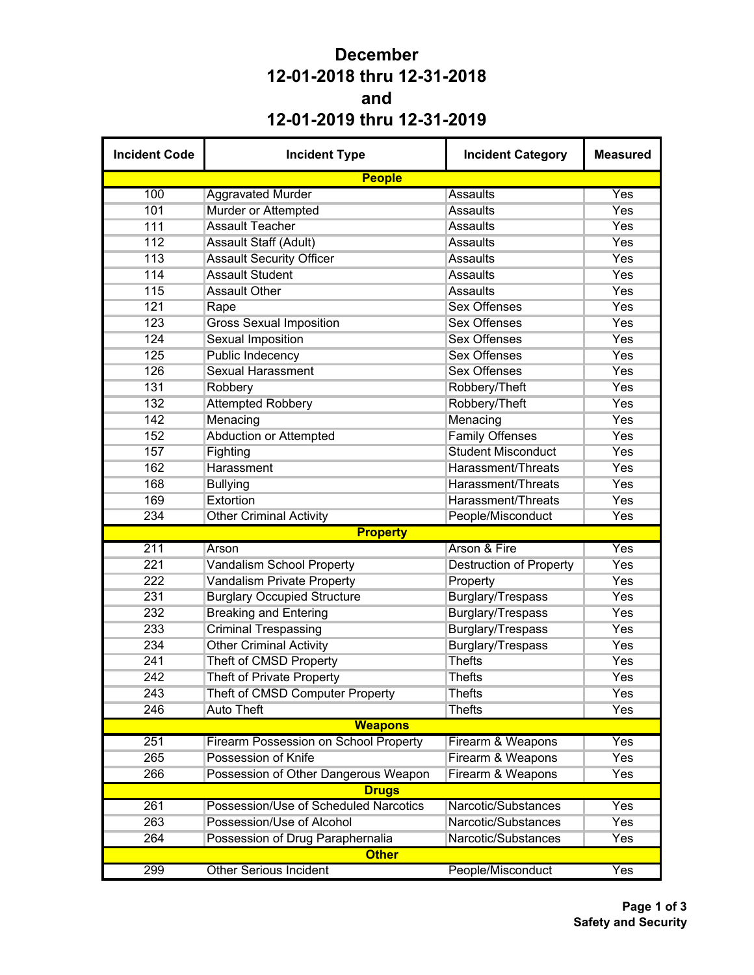## **December 12-01-2018 thru 12-31-2018 and 12-01-2019 thru 12-31-2019**

| <b>Incident Code</b> | <b>Incident Type</b>                         | <b>Incident Category</b>       | <b>Measured</b> |
|----------------------|----------------------------------------------|--------------------------------|-----------------|
|                      | <b>People</b>                                |                                |                 |
| 100                  | <b>Aggravated Murder</b>                     | <b>Assaults</b>                | Yes             |
| 101                  | Murder or Attempted                          | <b>Assaults</b>                | Yes             |
| 111                  | <b>Assault Teacher</b>                       | <b>Assaults</b>                | Yes             |
| 112                  | Assault Staff (Adult)                        | <b>Assaults</b>                | Yes             |
| 113                  | <b>Assault Security Officer</b>              | <b>Assaults</b>                | Yes             |
| 114                  | <b>Assault Student</b>                       | <b>Assaults</b>                | Yes             |
| 115                  | <b>Assault Other</b>                         | <b>Assaults</b>                | Yes             |
| 121                  | Rape                                         | <b>Sex Offenses</b>            | Yes             |
| 123                  | <b>Gross Sexual Imposition</b>               | <b>Sex Offenses</b>            | Yes             |
| 124                  | <b>Sexual Imposition</b>                     | <b>Sex Offenses</b>            | Yes             |
| 125                  | Public Indecency                             | <b>Sex Offenses</b>            | Yes             |
| 126                  | <b>Sexual Harassment</b>                     | <b>Sex Offenses</b>            | Yes             |
| 131                  | Robbery                                      | Robbery/Theft                  | Yes             |
| 132                  | <b>Attempted Robbery</b>                     | Robbery/Theft                  | Yes             |
| 142                  | Menacing                                     | Menacing                       | Yes             |
| 152                  | <b>Abduction or Attempted</b>                | <b>Family Offenses</b>         | Yes             |
| 157                  | Fighting                                     | <b>Student Misconduct</b>      | Yes             |
| 162                  | Harassment                                   | Harassment/Threats             | Yes             |
| 168                  | <b>Bullying</b>                              | <b>Harassment/Threats</b>      | Yes             |
| 169                  | Extortion                                    | Harassment/Threats             | Yes             |
| 234                  | <b>Other Criminal Activity</b>               | People/Misconduct              | Yes             |
|                      | <b>Property</b>                              |                                |                 |
| 211                  | Arson                                        | Arson & Fire                   | Yes             |
| 221                  | <b>Vandalism School Property</b>             | <b>Destruction of Property</b> | Yes             |
| 222                  | <b>Vandalism Private Property</b>            | Property                       | Yes             |
| 231                  | <b>Burglary Occupied Structure</b>           | Burglary/Trespass              | Yes             |
| 232                  | <b>Breaking and Entering</b>                 | Burglary/Trespass              | Yes             |
| 233                  | <b>Criminal Trespassing</b>                  | <b>Burglary/Trespass</b>       | Yes             |
| 234                  | <b>Other Criminal Activity</b>               | Burglary/Trespass              | Yes             |
| 241                  | Theft of CMSD Property                       | <b>Thefts</b>                  | Yes             |
| 242                  | <b>Theft of Private Property</b>             | <b>Thefts</b>                  | Yes             |
| 243                  | Theft of CMSD Computer Property              | Thefts                         | Yes             |
| 246                  | <b>Auto Theft</b>                            | <b>Thefts</b>                  | Yes             |
|                      | <b>Weapons</b>                               |                                |                 |
| 251                  | <b>Firearm Possession on School Property</b> | Firearm & Weapons              | Yes             |
| 265                  | Possession of Knife                          | Firearm & Weapons              | Yes             |
| 266                  | Possession of Other Dangerous Weapon         | Firearm & Weapons              | Yes             |
|                      | <b>Drugs</b>                                 |                                |                 |
| 261                  | Possession/Use of Scheduled Narcotics        | Narcotic/Substances            | Yes             |
| 263                  | Possession/Use of Alcohol                    | Narcotic/Substances            | Yes             |
| 264                  | Possession of Drug Paraphernalia             | Narcotic/Substances            | Yes             |
|                      | <b>Other</b>                                 |                                |                 |
| 299                  | <b>Other Serious Incident</b>                | People/Misconduct              | Yes             |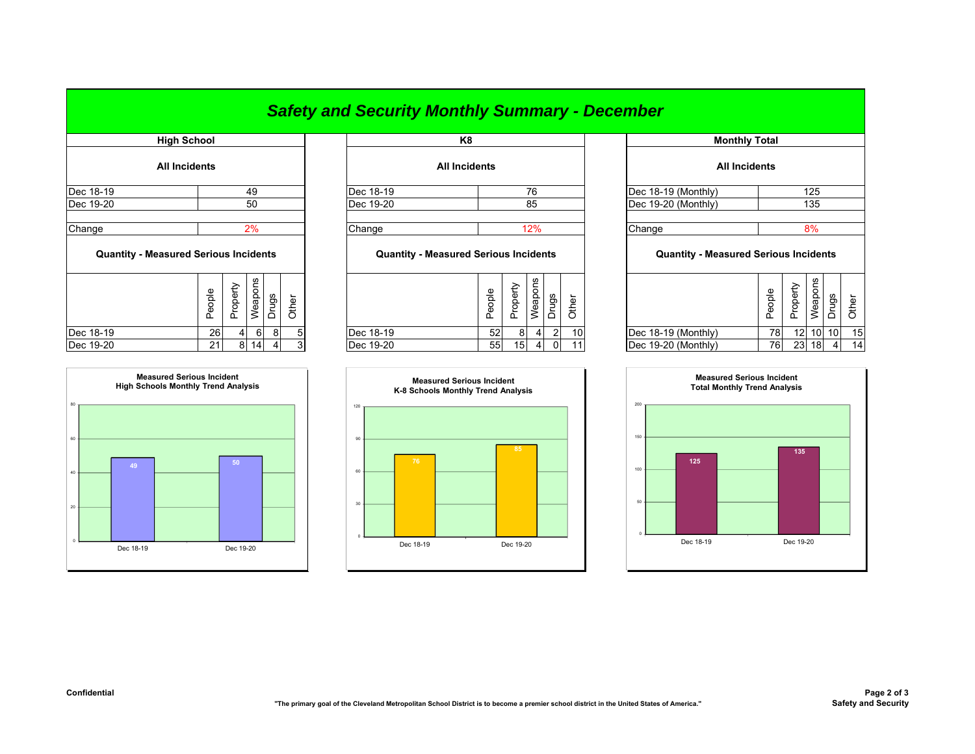## *Safety and Security Monthly Summary - December*

| <b>High School</b>                           |        |          |         |              |       |                                              | K8                   |          |                |                |       |         |
|----------------------------------------------|--------|----------|---------|--------------|-------|----------------------------------------------|----------------------|----------|----------------|----------------|-------|---------|
| <b>All Incidents</b>                         |        |          |         |              |       |                                              | <b>All Incidents</b> |          |                |                |       |         |
| Dec 18-19                                    |        |          | 49      |              |       | Dec 18-19                                    |                      |          | 76             |                |       | Dec 18- |
| Dec 19-20                                    |        |          | 50      |              |       | Dec 19-20                                    |                      |          | 85             |                |       | Dec 19- |
| Change                                       |        |          | 2%      |              |       | Change                                       |                      |          | 12%            |                |       | Change  |
| <b>Quantity - Measured Serious Incidents</b> |        |          |         |              |       | <b>Quantity - Measured Serious Incidents</b> |                      |          |                |                |       | C       |
|                                              | People | Property | Weapons | <b>Drugs</b> | Other |                                              | People               | Property | Weapons        | Drugs          | Other |         |
| Dec 18-19                                    | 26     | 4        | 6       | 8            | 5     | Dec 18-19                                    |                      | 52<br>8  | 4 <sup>1</sup> | $\overline{2}$ | 10    | Dec 18- |



|           | High School          |                                                                                                                                                                                                                                                                                                                                                                                   | K8                   |                                                                                                                                                                                                                                                                                                                                                                                   | <b>Monthly Total</b>  |                      |
|-----------|----------------------|-----------------------------------------------------------------------------------------------------------------------------------------------------------------------------------------------------------------------------------------------------------------------------------------------------------------------------------------------------------------------------------|----------------------|-----------------------------------------------------------------------------------------------------------------------------------------------------------------------------------------------------------------------------------------------------------------------------------------------------------------------------------------------------------------------------------|-----------------------|----------------------|
|           | <b>All Incidents</b> |                                                                                                                                                                                                                                                                                                                                                                                   | <b>All Incidents</b> |                                                                                                                                                                                                                                                                                                                                                                                   |                       | <b>All Incidents</b> |
| Dec 18-19 | 49                   | Dec 18-19                                                                                                                                                                                                                                                                                                                                                                         | 76                   |                                                                                                                                                                                                                                                                                                                                                                                   | $Dec 18-19 (Monthly)$ |                      |
| Dec 19-20 | 50                   | Dec 19-20                                                                                                                                                                                                                                                                                                                                                                         | 85                   |                                                                                                                                                                                                                                                                                                                                                                                   | $Dec 19-20 (Monthly)$ |                      |
|           | 0 <sup>0</sup>       | $\bigcap$ $\bigcup$ $\bigcap$ $\bigcap$ $\bigcap$ $\bigcap$ $\bigcap$ $\bigcap$ $\bigcap$ $\bigcap$ $\bigcap$ $\bigcap$ $\bigcap$ $\bigcap$ $\bigcap$ $\bigcap$ $\bigcap$ $\bigcap$ $\bigcap$ $\bigcap$ $\bigcap$ $\bigcap$ $\bigcap$ $\bigcap$ $\bigcap$ $\bigcap$ $\bigcap$ $\bigcap$ $\bigcap$ $\bigcap$ $\bigcap$ $\bigcap$ $\bigcap$ $\bigcap$ $\bigcap$ $\bigcap$ $\bigcap$ | 10 <sup>1</sup>      | $\bigcap$ $\bigcup$ $\bigcap$ $\bigcap$ $\bigcap$ $\bigcap$ $\bigcap$ $\bigcap$ $\bigcap$ $\bigcap$ $\bigcap$ $\bigcap$ $\bigcap$ $\bigcap$ $\bigcap$ $\bigcap$ $\bigcap$ $\bigcap$ $\bigcap$ $\bigcap$ $\bigcap$ $\bigcap$ $\bigcap$ $\bigcap$ $\bigcap$ $\bigcap$ $\bigcap$ $\bigcap$ $\bigcap$ $\bigcap$ $\bigcap$ $\bigcap$ $\bigcap$ $\bigcap$ $\bigcap$ $\bigcap$ $\bigcap$ |                       |                      |

## **Quantity - Measured Serious Incidents Quantity - Measured Serious Incidents Quantity - Measured Serious Incidents**

| يو<br>د<br><b>SC</b><br>w<br>Φ<br>Φ<br>മ<br>წე<br>횽<br>ᄒ<br>ധ<br>ၕ<br>∼<br>∸<br>ᢛ<br>Ō<br>Ф<br>Φ<br>ᅀ<br>∸<br>∸<br>Ф<br>G)<br>Φ<br>C)<br>Φ<br>௨<br>௨<br>ட<br>ᄔ<br>⋍<br>ㅛ<br>∸ | ვ     |    |
|-------------------------------------------------------------------------------------------------------------------------------------------------------------------------------|-------|----|
| 12 <sup>1</sup><br>10<br>78<br>Dec 18-19<br>Dec 18-19<br>Dec 18-19 (Monthly)<br>52<br><b>26</b><br>81<br>61<br>4<br>ດເ                                                        | 10 10 | 15 |
| Dec 19-20<br>Dec 19-20<br>23<br>Dec 19-20 (Monthly)<br>76<br>55<br>18<br>14<br>21<br>8<br>15 <sup>1</sup><br>$\sim$<br>4<br>11<br>$\sim$                                      |       | 14 |



|                           |                      | K <sub>8</sub>                               |        |                 |                |                |       |                      | <b>Monthly Total</b>                         |        |                 |                 |                |       |
|---------------------------|----------------------|----------------------------------------------|--------|-----------------|----------------|----------------|-------|----------------------|----------------------------------------------|--------|-----------------|-----------------|----------------|-------|
|                           | <b>All Incidents</b> |                                              |        |                 |                |                |       | <b>All Incidents</b> |                                              |        |                 |                 |                |       |
| 49                        |                      | Dec 18-19                                    |        |                 | 76             |                |       |                      | Dec 18-19 (Monthly)                          |        |                 | 125             |                |       |
| 50                        |                      | Dec 19-20                                    |        |                 | 85             |                |       |                      | Dec 19-20 (Monthly)                          |        |                 | 135             |                |       |
|                           |                      |                                              |        |                 |                |                |       |                      |                                              |        |                 |                 |                |       |
| 2%                        |                      | Change                                       |        |                 | 12%            |                |       |                      | Change                                       |        |                 | 8%              |                |       |
| :idents                   |                      | <b>Quantity - Measured Serious Incidents</b> |        |                 |                |                |       |                      | <b>Quantity - Measured Serious Incidents</b> |        |                 |                 |                |       |
| Weapons<br>Drugs<br>Other |                      |                                              | People | Property        | Weapons        | <b>Drugs</b>   | Other |                      |                                              | People | Property        | Weapons         | Drugs          | Other |
| $6 \,$<br>8<br>5          |                      | Dec 18-19                                    | 52     | 8               | $\overline{4}$ | $\overline{2}$ | 10    |                      | Dec 18-19 (Monthly)                          | 78     | 12 <sup>1</sup> | 10 <sup>1</sup> | 10             | 15    |
| 14<br>3<br>$\overline{4}$ |                      | Dec 19-20                                    | 55     | 15 <sub>l</sub> | $\overline{4}$ | $\Omega$       |       |                      | Dec 19-20 (Monthly)                          | 76     | 23              | 18              | $\overline{4}$ | 14    |